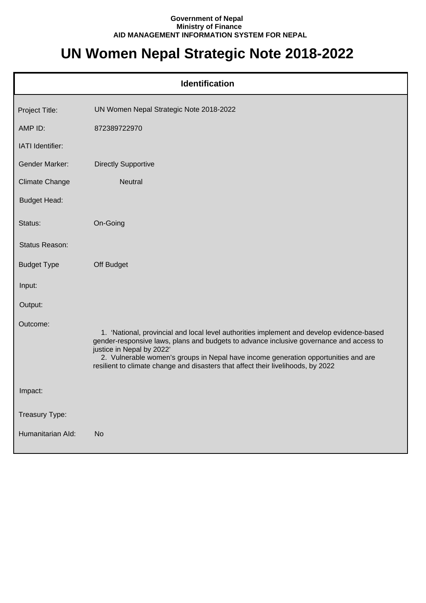## **Government of Nepal Ministry of Finance AID MANAGEMENT INFORMATION SYSTEM FOR NEPAL**

## **UN Women Nepal Strategic Note 2018-2022**

|                       | <b>Identification</b>                                                                                                                                                                                                                                                                                                                                                                       |
|-----------------------|---------------------------------------------------------------------------------------------------------------------------------------------------------------------------------------------------------------------------------------------------------------------------------------------------------------------------------------------------------------------------------------------|
| Project Title:        | UN Women Nepal Strategic Note 2018-2022                                                                                                                                                                                                                                                                                                                                                     |
| AMP ID:               | 872389722970                                                                                                                                                                                                                                                                                                                                                                                |
| IATI Identifier:      |                                                                                                                                                                                                                                                                                                                                                                                             |
| <b>Gender Marker:</b> | <b>Directly Supportive</b>                                                                                                                                                                                                                                                                                                                                                                  |
| <b>Climate Change</b> | <b>Neutral</b>                                                                                                                                                                                                                                                                                                                                                                              |
| <b>Budget Head:</b>   |                                                                                                                                                                                                                                                                                                                                                                                             |
| Status:               | On-Going                                                                                                                                                                                                                                                                                                                                                                                    |
| Status Reason:        |                                                                                                                                                                                                                                                                                                                                                                                             |
| <b>Budget Type</b>    | Off Budget                                                                                                                                                                                                                                                                                                                                                                                  |
| Input:                |                                                                                                                                                                                                                                                                                                                                                                                             |
| Output:               |                                                                                                                                                                                                                                                                                                                                                                                             |
| Outcome:              | 1. 'National, provincial and local level authorities implement and develop evidence-based<br>gender-responsive laws, plans and budgets to advance inclusive governance and access to<br>justice in Nepal by 2022'<br>2. Vulnerable women's groups in Nepal have income generation opportunities and are<br>resilient to climate change and disasters that affect their livelihoods, by 2022 |
| Impact:               |                                                                                                                                                                                                                                                                                                                                                                                             |
| Treasury Type:        |                                                                                                                                                                                                                                                                                                                                                                                             |
| Humanitarian Ald:     | <b>No</b>                                                                                                                                                                                                                                                                                                                                                                                   |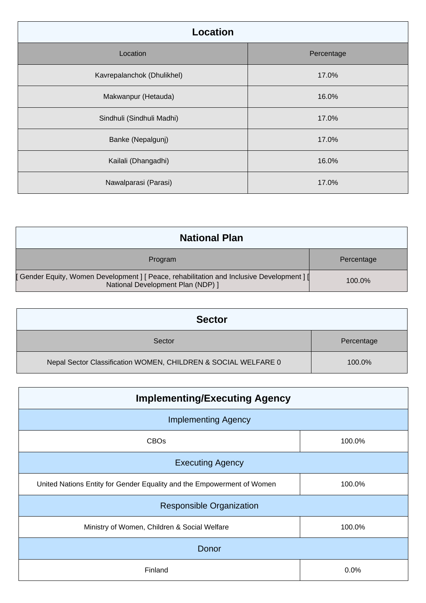| Location                   |            |  |
|----------------------------|------------|--|
| Location                   | Percentage |  |
| Kavrepalanchok (Dhulikhel) | 17.0%      |  |
| Makwanpur (Hetauda)        | 16.0%      |  |
| Sindhuli (Sindhuli Madhi)  | 17.0%      |  |
| Banke (Nepalgunj)          | 17.0%      |  |
| Kailali (Dhangadhi)        | 16.0%      |  |
| Nawalparasi (Parasi)       | 17.0%      |  |

| <b>National Plan</b>                                                                                                            |            |
|---------------------------------------------------------------------------------------------------------------------------------|------------|
| Program                                                                                                                         | Percentage |
| [ Gender Equity, Women Development ] [ Peace, rehabilitation and Inclusive Development ] [<br>National Development Plan (NDP) ] | $100.0\%$  |

| <b>Sector</b>                                                  |            |
|----------------------------------------------------------------|------------|
| Sector                                                         | Percentage |
| Nepal Sector Classification WOMEN, CHILDREN & SOCIAL WELFARE 0 | 100.0%     |

| <b>Implementing/Executing Agency</b>                                   |        |  |
|------------------------------------------------------------------------|--------|--|
| <b>Implementing Agency</b>                                             |        |  |
| <b>CBOs</b>                                                            | 100.0% |  |
| <b>Executing Agency</b>                                                |        |  |
| United Nations Entity for Gender Equality and the Empowerment of Women | 100.0% |  |
| <b>Responsible Organization</b>                                        |        |  |
| Ministry of Women, Children & Social Welfare                           | 100.0% |  |
| Donor                                                                  |        |  |
| Finland                                                                | 0.0%   |  |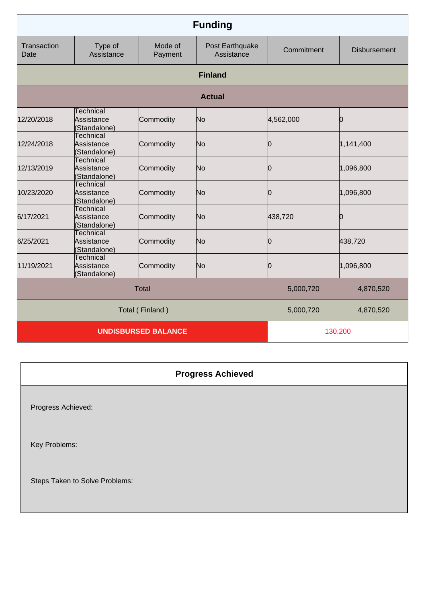| <b>Funding</b>      |                                                |                            |                               |            |                     |
|---------------------|------------------------------------------------|----------------------------|-------------------------------|------------|---------------------|
| Transaction<br>Date | Type of<br>Assistance                          | Mode of<br>Payment         | Post Earthquake<br>Assistance | Commitment | <b>Disbursement</b> |
|                     |                                                |                            | <b>Finland</b>                |            |                     |
|                     |                                                |                            | <b>Actual</b>                 |            |                     |
| 12/20/2018          | Technical<br>Assistance<br>(Standalone)        | Commodity                  | No                            | 4,562,000  | Ю                   |
| 12/24/2018          | <b>Technical</b><br>Assistance<br>(Standalone) | Commodity                  | No                            | 0          | 1,141,400           |
| 12/13/2019          | <b>Technical</b><br>Assistance<br>(Standalone) | Commodity                  | N <sub>o</sub>                | 0          | 1,096,800           |
| 10/23/2020          | <b>Technical</b><br>Assistance<br>(Standalone) | Commodity                  | N <sub>o</sub>                | 0          | 1,096,800           |
| 6/17/2021           | Technical<br>Assistance<br>(Standalone)        | Commodity                  | No                            | 438,720    | Ŋ                   |
| 6/25/2021           | <b>Technical</b><br>Assistance<br>(Standalone) | Commodity                  | N <sub>o</sub>                | 0          | 438,720             |
| 11/19/2021          | Technical<br>Assistance<br>(Standalone)        | Commodity                  | No                            | 0          | 1,096,800           |
|                     |                                                | <b>Total</b>               |                               | 5,000,720  | 4,870,520           |
|                     |                                                | Total (Finland)            |                               | 5,000,720  | 4,870,520           |
|                     |                                                | <b>UNDISBURSED BALANCE</b> |                               |            | 130,200             |

## **Progress Achieved**

Progress Achieved:

Key Problems:

Steps Taken to Solve Problems: